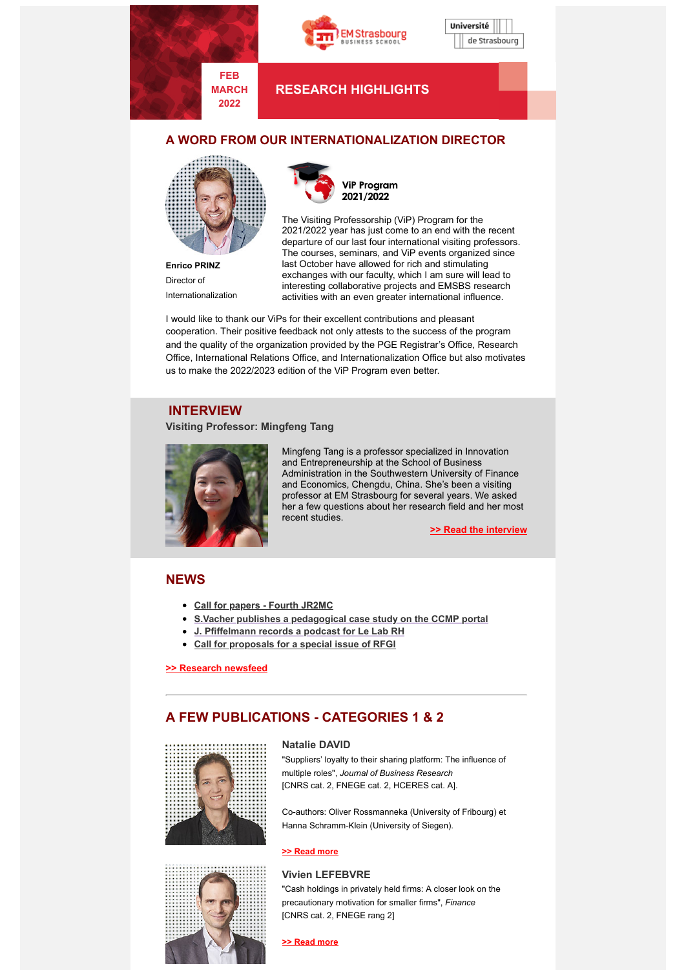

**MARCH 2022**





**RESEARCH HIGHLIGHTS**

## **A WORD FROM OUR INTERNATIONALIZATION DIRECTOR**



**Enrico PRINZ** Director of Internationalization



The Visiting Professorship (ViP) Program for the 2021/2022 year has just come to an end with the recent departure of our last four international visiting professors. The courses, seminars, and ViP events organized since last October have allowed for rich and stimulating exchanges with our faculty, which I am sure will lead to interesting collaborative projects and EMSBS research activities with an even greater international influence.

I would like to thank our ViPs for their excellent contributions and pleasant cooperation. Their positive feedback not only attests to the success of the program and the quality of the organization provided by the PGE Registrar's Office, Research Office, International Relations Office, and Internationalization Office but also motivates us to make the 2022/2023 edition of the ViP Program even better.

### **INTERVIEW**

#### **Visiting Professor: Mingfeng Tang**



Mingfeng Tang is a professor specialized in Innovation and Entrepreneurship at the School of Business Administration in the Southwestern University of Finance and Economics, Chengdu, China. She's been a visiting professor at EM Strasbourg for several years. We asked her a few questions about her research field and her most recent studies.

**>> Read the [interview](https://www.em-strasbourg.com/fr/actualites/mingfeng-tang-interview-visiting-professor)**

## **NEWS**

- **Call for papers - Fourth [JR2MC](https://www.em-strasbourg.com/en/news/call-papers-fourth-jr2mc)**
- **S.Vacher publishes a [pedagogical](https://www.em-strasbourg.com/en/news/s-vacher-publishes-pedagogical-case-study-ccmp-portal) case study on the CCMP portal**
- **J. [Pfiffelmann](https://www.em-strasbourg.com/en/news/j-pfiffelmann-records-podcast-lab-rh) records a podcast for Le Lab RH**
- **Call for [proposals](https://www.em-strasbourg.com/en/news/call-proposals-special-issue-rfgi) for a special issue of RFGI**

**>> Research [newsfeed](https://www.em-strasbourg.com/en/researcher/news)**

# **A FEW PUBLICATIONS - CATEGORIES 1 & 2**



#### **Natalie DAVID**

"Suppliers' loyalty to their sharing platform: The influence of multiple roles", *Journal of Business Research* [CNRS cat. 2, FNEGE cat. 2, HCERES cat. A].

Co-authors: Oliver Rossmanneka (University of Fribourg) et Hanna Schramm-Klein (University of Siegen).

#### **[>> Read more](https://www.em-strasbourg.com/en/news/n-david-publishes-journal-business-research)**



### **Vivien LEFEBVRE**

"Cash holdings in privately held firms: A closer look on the precautionary motivation for smaller firms", *Finance* [CNRS cat. 2, FNEGE rang 2]

**[>> Read more](https://www.em-strasbourg.com/en/news/v-lefebvre-publishes-journal-finance)**